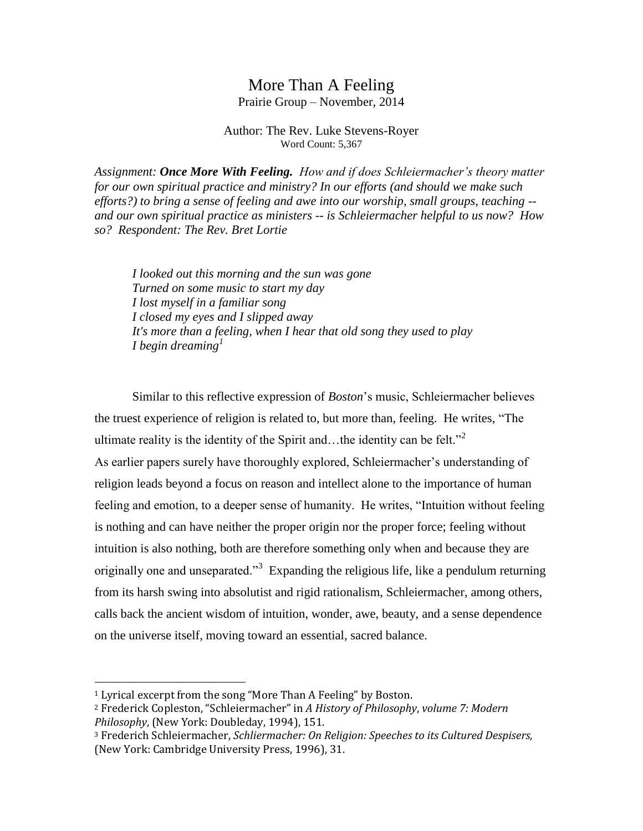# More Than A Feeling

Prairie Group – November, 2014

Author: The Rev. Luke Stevens-Royer Word Count: 5,367

*Assignment: Once More With Feeling. How and if does Schleiermacher's theory matter for our own spiritual practice and ministry? In our efforts (and should we make such efforts?) to bring a sense of feeling and awe into our worship, small groups, teaching - and our own spiritual practice as ministers -- is Schleiermacher helpful to us now? How so? Respondent: The Rev. Bret Lortie*

*I looked out this morning and the sun was gone Turned on some music to start my day I lost myself in a familiar song I closed my eyes and I slipped away It's more than a feeling, when I hear that old song they used to play I begin dreaming<sup>1</sup>*

Similar to this reflective expression of *Boston*'s music, Schleiermacher believes the truest experience of religion is related to, but more than, feeling. He writes, "The ultimate reality is the identity of the Spirit and…the identity can be felt."<sup>2</sup> As earlier papers surely have thoroughly explored, Schleiermacher's understanding of religion leads beyond a focus on reason and intellect alone to the importance of human feeling and emotion, to a deeper sense of humanity. He writes, "Intuition without feeling is nothing and can have neither the proper origin nor the proper force; feeling without intuition is also nothing, both are therefore something only when and because they are originally one and unseparated."<sup>3</sup> Expanding the religious life, like a pendulum returning from its harsh swing into absolutist and rigid rationalism, Schleiermacher, among others, calls back the ancient wisdom of intuition, wonder, awe, beauty, and a sense dependence on the universe itself, moving toward an essential, sacred balance.

 $\overline{a}$ 

<sup>1</sup> Lyrical excerpt from the song "More Than A Feeling" by Boston.

<sup>2</sup> Frederick Copleston, "Schleiermacher" in *A History of Philosophy*, *volume 7: Modern Philosophy*, (New York: Doubleday, 1994), 151.

<sup>3</sup> Frederich Schleiermacher, *Schliermacher: On Religion: Speeches to its Cultured Despisers,*  (New York: Cambridge University Press, 1996), 31.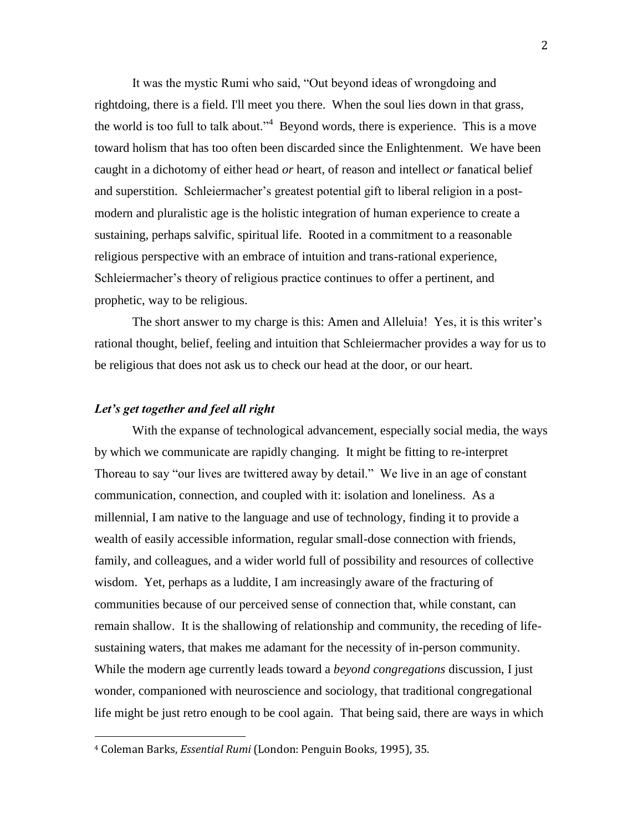It was the mystic Rumi who said, "Out beyond ideas of wrongdoing and rightdoing, there is a field. I'll meet you there. When the soul lies down in that grass, the world is too full to talk about."<sup>4</sup> Beyond words, there is experience. This is a move toward holism that has too often been discarded since the Enlightenment. We have been caught in a dichotomy of either head *or* heart, of reason and intellect *or* fanatical belief and superstition. Schleiermacher's greatest potential gift to liberal religion in a postmodern and pluralistic age is the holistic integration of human experience to create a sustaining, perhaps salvific, spiritual life. Rooted in a commitment to a reasonable religious perspective with an embrace of intuition and trans-rational experience, Schleiermacher's theory of religious practice continues to offer a pertinent, and prophetic, way to be religious.

The short answer to my charge is this: Amen and Alleluia! Yes, it is this writer's rational thought, belief, feeling and intuition that Schleiermacher provides a way for us to be religious that does not ask us to check our head at the door, or our heart.

#### *Let's get together and feel all right*

l

With the expanse of technological advancement, especially social media, the ways by which we communicate are rapidly changing. It might be fitting to re-interpret Thoreau to say "our lives are twittered away by detail." We live in an age of constant communication, connection, and coupled with it: isolation and loneliness. As a millennial, I am native to the language and use of technology, finding it to provide a wealth of easily accessible information, regular small-dose connection with friends, family, and colleagues, and a wider world full of possibility and resources of collective wisdom. Yet, perhaps as a luddite, I am increasingly aware of the fracturing of communities because of our perceived sense of connection that, while constant, can remain shallow. It is the shallowing of relationship and community, the receding of lifesustaining waters, that makes me adamant for the necessity of in-person community. While the modern age currently leads toward a *beyond congregations* discussion, I just wonder, companioned with neuroscience and sociology, that traditional congregational life might be just retro enough to be cool again. That being said, there are ways in which

<sup>4</sup> Coleman Barks, *Essential Rumi* (London: Penguin Books, 1995), 35.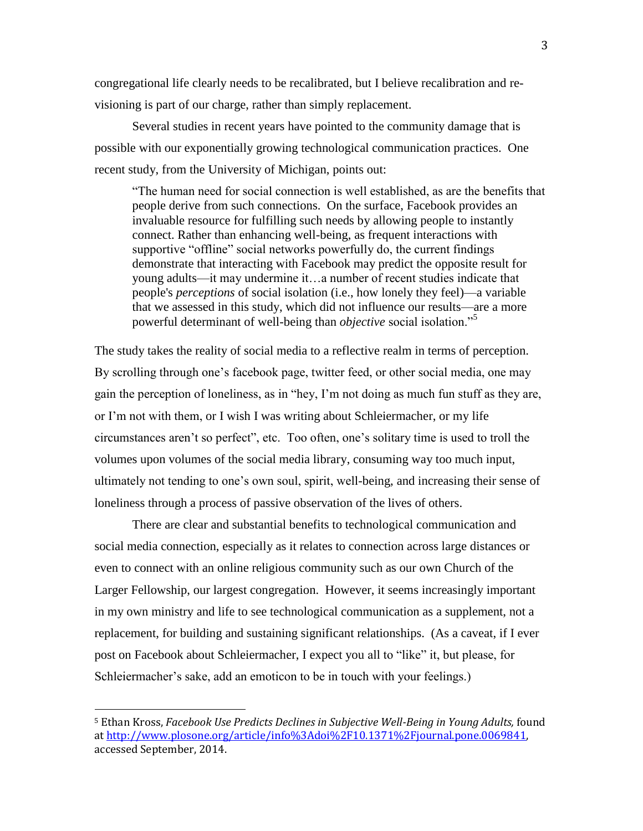congregational life clearly needs to be recalibrated, but I believe recalibration and revisioning is part of our charge, rather than simply replacement.

Several studies in recent years have pointed to the community damage that is possible with our exponentially growing technological communication practices. One recent study, from the University of Michigan, points out:

"The human need for social connection is well established, as are the benefits that people derive from such connections. On the surface, Facebook provides an invaluable resource for fulfilling such needs by allowing people to instantly connect. Rather than enhancing well-being, as frequent interactions with supportive "offline" social networks powerfully do, the current findings demonstrate that interacting with Facebook may predict the opposite result for young adults—it may undermine it…a number of recent studies indicate that people's *perceptions* of social isolation (i.e., how lonely they feel)—a variable that we assessed in this study, which did not influence our results—are a more powerful determinant of well-being than *objective* social isolation."<sup>5</sup>

The study takes the reality of social media to a reflective realm in terms of perception. By scrolling through one's facebook page, twitter feed, or other social media, one may gain the perception of loneliness, as in "hey, I'm not doing as much fun stuff as they are, or I'm not with them, or I wish I was writing about Schleiermacher, or my life circumstances aren't so perfect", etc. Too often, one's solitary time is used to troll the volumes upon volumes of the social media library, consuming way too much input, ultimately not tending to one's own soul, spirit, well-being, and increasing their sense of loneliness through a process of passive observation of the lives of others.

There are clear and substantial benefits to technological communication and social media connection, especially as it relates to connection across large distances or even to connect with an online religious community such as our own Church of the Larger Fellowship, our largest congregation. However, it seems increasingly important in my own ministry and life to see technological communication as a supplement, not a replacement, for building and sustaining significant relationships. (As a caveat, if I ever post on Facebook about Schleiermacher, I expect you all to "like" it, but please, for Schleiermacher's sake, add an emoticon to be in touch with your feelings.)

<sup>5</sup> Ethan Kross, *Facebook Use Predicts Declines in Subjective Well-Being in Young Adults,* found a[t http://www.plosone.org/article/info%3Adoi%2F10.1371%2Fjournal.pone.0069841,](http://www.plosone.org/article/info%3Adoi%2F10.1371%2Fjournal.pone.0069841)  accessed September, 2014.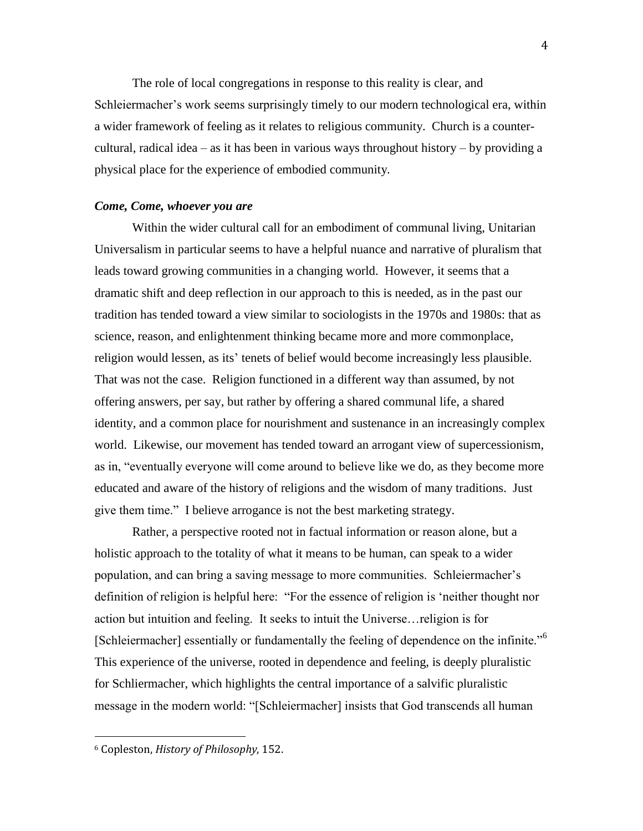The role of local congregations in response to this reality is clear, and Schleiermacher's work seems surprisingly timely to our modern technological era, within a wider framework of feeling as it relates to religious community. Church is a countercultural, radical idea – as it has been in various ways throughout history – by providing a physical place for the experience of embodied community.

#### *Come, Come, whoever you are*

Within the wider cultural call for an embodiment of communal living, Unitarian Universalism in particular seems to have a helpful nuance and narrative of pluralism that leads toward growing communities in a changing world. However, it seems that a dramatic shift and deep reflection in our approach to this is needed, as in the past our tradition has tended toward a view similar to sociologists in the 1970s and 1980s: that as science, reason, and enlightenment thinking became more and more commonplace, religion would lessen, as its' tenets of belief would become increasingly less plausible. That was not the case. Religion functioned in a different way than assumed, by not offering answers, per say, but rather by offering a shared communal life, a shared identity, and a common place for nourishment and sustenance in an increasingly complex world. Likewise, our movement has tended toward an arrogant view of supercessionism, as in, "eventually everyone will come around to believe like we do, as they become more educated and aware of the history of religions and the wisdom of many traditions. Just give them time." I believe arrogance is not the best marketing strategy.

Rather, a perspective rooted not in factual information or reason alone, but a holistic approach to the totality of what it means to be human, can speak to a wider population, and can bring a saving message to more communities. Schleiermacher's definition of religion is helpful here: "For the essence of religion is 'neither thought nor action but intuition and feeling. It seeks to intuit the Universe…religion is for [Schleiermacher] essentially or fundamentally the feeling of dependence on the infinite."<sup>6</sup> This experience of the universe, rooted in dependence and feeling, is deeply pluralistic for Schliermacher, which highlights the central importance of a salvific pluralistic message in the modern world: "[Schleiermacher] insists that God transcends all human

<sup>6</sup> Copleston, *History of Philosophy*, 152.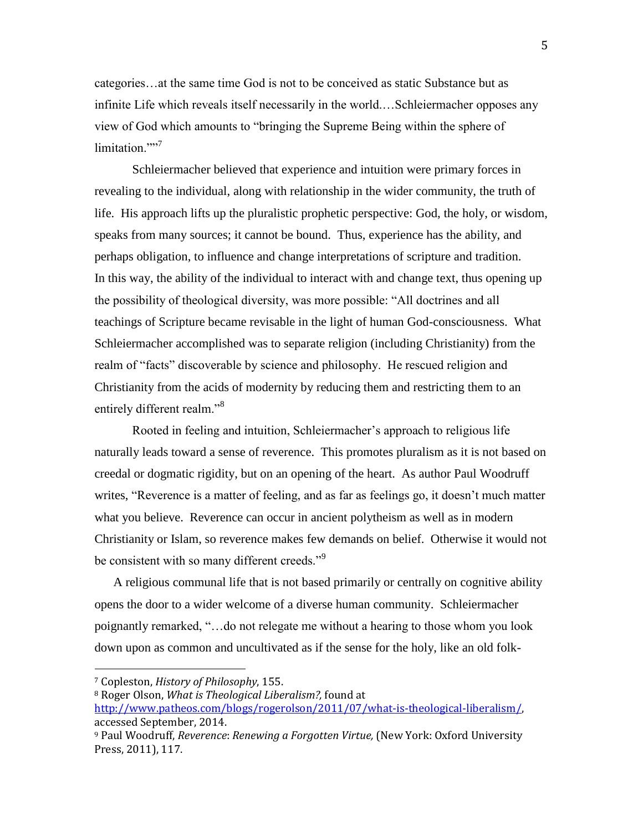categories…at the same time God is not to be conceived as static Substance but as infinite Life which reveals itself necessarily in the world.…Schleiermacher opposes any view of God which amounts to "bringing the Supreme Being within the sphere of limitation.""<sup>7</sup>

Schleiermacher believed that experience and intuition were primary forces in revealing to the individual, along with relationship in the wider community, the truth of life. His approach lifts up the pluralistic prophetic perspective: God, the holy, or wisdom, speaks from many sources; it cannot be bound. Thus, experience has the ability, and perhaps obligation, to influence and change interpretations of scripture and tradition. In this way, the ability of the individual to interact with and change text, thus opening up the possibility of theological diversity, was more possible: "All doctrines and all teachings of Scripture became revisable in the light of human God-consciousness. What Schleiermacher accomplished was to separate religion (including Christianity) from the realm of "facts" discoverable by science and philosophy. He rescued religion and Christianity from the acids of modernity by reducing them and restricting them to an entirely different realm."<sup>8</sup>

Rooted in feeling and intuition, Schleiermacher's approach to religious life naturally leads toward a sense of reverence. This promotes pluralism as it is not based on creedal or dogmatic rigidity, but on an opening of the heart. As author Paul Woodruff writes, "Reverence is a matter of feeling, and as far as feelings go, it doesn't much matter what you believe. Reverence can occur in ancient polytheism as well as in modern Christianity or Islam, so reverence makes few demands on belief. Otherwise it would not be consistent with so many different creeds."<sup>9</sup>

A religious communal life that is not based primarily or centrally on cognitive ability opens the door to a wider welcome of a diverse human community. Schleiermacher poignantly remarked, "…do not relegate me without a hearing to those whom you look down upon as common and uncultivated as if the sense for the holy, like an old folk-

<sup>7</sup> Copleston, *History of Philosophy*, 155.

<sup>8</sup> Roger Olson, *What is Theological Liberalism?,* found at

[http://www.patheos.com/blogs/rogerolson/2011/07/what-is-theological-liberalism/,](http://www.patheos.com/blogs/rogerolson/2011/07/what-is-theological-liberalism/) accessed September, 2014.

<sup>9</sup> Paul Woodruff, *Reverence*: *Renewing a Forgotten Virtue,* (New York: Oxford University Press, 2011), 117.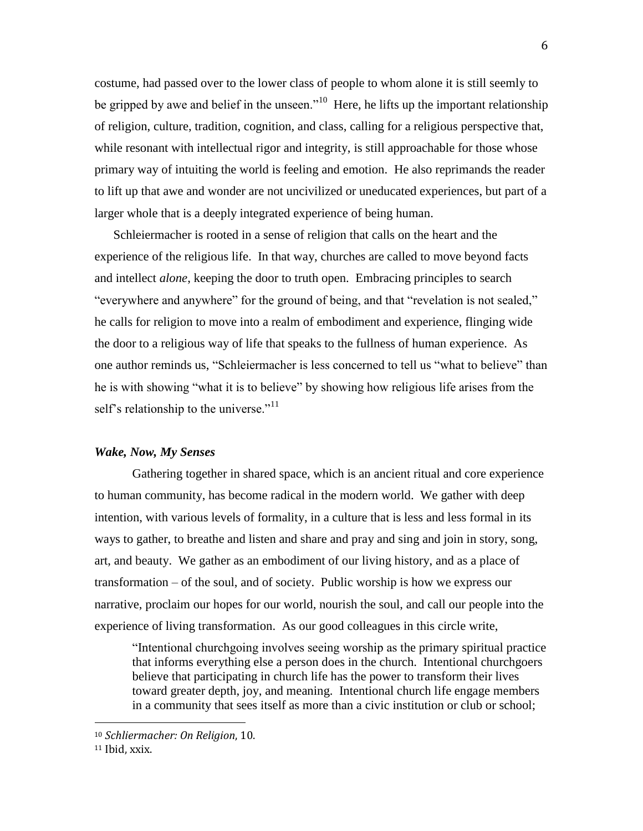costume, had passed over to the lower class of people to whom alone it is still seemly to be gripped by awe and belief in the unseen."<sup>10</sup> Here, he lifts up the important relationship of religion, culture, tradition, cognition, and class, calling for a religious perspective that, while resonant with intellectual rigor and integrity, is still approachable for those whose primary way of intuiting the world is feeling and emotion. He also reprimands the reader to lift up that awe and wonder are not uncivilized or uneducated experiences, but part of a larger whole that is a deeply integrated experience of being human.

Schleiermacher is rooted in a sense of religion that calls on the heart and the experience of the religious life. In that way, churches are called to move beyond facts and intellect *alone*, keeping the door to truth open. Embracing principles to search "everywhere and anywhere" for the ground of being, and that "revelation is not sealed," he calls for religion to move into a realm of embodiment and experience, flinging wide the door to a religious way of life that speaks to the fullness of human experience. As one author reminds us, "Schleiermacher is less concerned to tell us "what to believe" than he is with showing "what it is to believe" by showing how religious life arises from the self's relationship to the universe." $11$ 

### *Wake, Now, My Senses*

Gathering together in shared space, which is an ancient ritual and core experience to human community, has become radical in the modern world. We gather with deep intention, with various levels of formality, in a culture that is less and less formal in its ways to gather, to breathe and listen and share and pray and sing and join in story, song, art, and beauty. We gather as an embodiment of our living history, and as a place of transformation – of the soul, and of society. Public worship is how we express our narrative, proclaim our hopes for our world, nourish the soul, and call our people into the experience of living transformation. As our good colleagues in this circle write,

"Intentional churchgoing involves seeing worship as the primary spiritual practice that informs everything else a person does in the church. Intentional churchgoers believe that participating in church life has the power to transform their lives toward greater depth, joy, and meaning. Intentional church life engage members in a community that sees itself as more than a civic institution or club or school;

<sup>10</sup> *Schliermacher: On Religion*, 10.

<sup>11</sup> Ibid, xxix.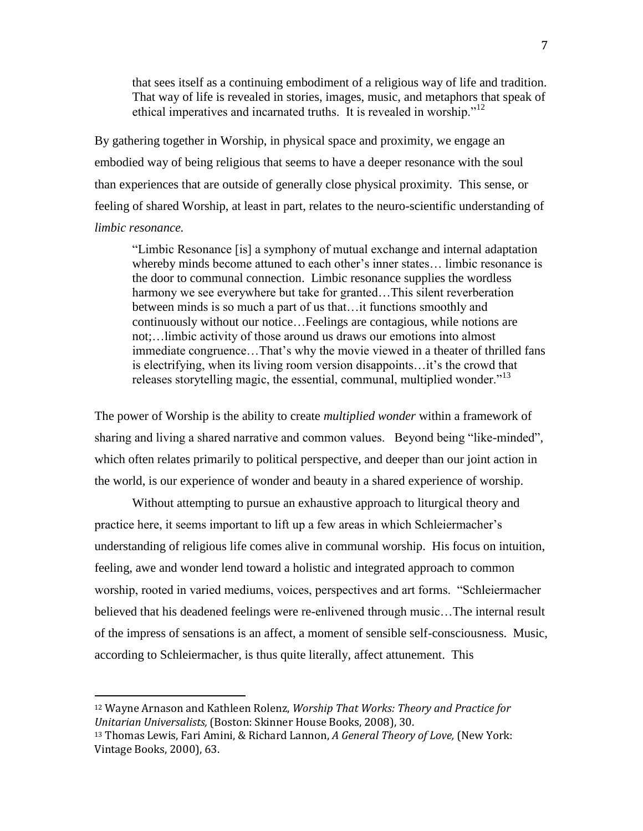that sees itself as a continuing embodiment of a religious way of life and tradition. That way of life is revealed in stories, images, music, and metaphors that speak of ethical imperatives and incarnated truths. It is revealed in worship."<sup>12</sup>

By gathering together in Worship, in physical space and proximity, we engage an embodied way of being religious that seems to have a deeper resonance with the soul than experiences that are outside of generally close physical proximity. This sense, or feeling of shared Worship, at least in part, relates to the neuro-scientific understanding of *limbic resonance.* 

"Limbic Resonance [is] a symphony of mutual exchange and internal adaptation whereby minds become attuned to each other's inner states… limbic resonance is the door to communal connection. Limbic resonance supplies the wordless harmony we see everywhere but take for granted…This silent reverberation between minds is so much a part of us that…it functions smoothly and continuously without our notice…Feelings are contagious, while notions are not;…limbic activity of those around us draws our emotions into almost immediate congruence…That's why the movie viewed in a theater of thrilled fans is electrifying, when its living room version disappoints…it's the crowd that releases storytelling magic, the essential, communal, multiplied wonder.<sup>"13</sup>

The power of Worship is the ability to create *multiplied wonder* within a framework of sharing and living a shared narrative and common values. Beyond being "like-minded", which often relates primarily to political perspective, and deeper than our joint action in the world, is our experience of wonder and beauty in a shared experience of worship.

Without attempting to pursue an exhaustive approach to liturgical theory and practice here, it seems important to lift up a few areas in which Schleiermacher's understanding of religious life comes alive in communal worship. His focus on intuition, feeling, awe and wonder lend toward a holistic and integrated approach to common worship, rooted in varied mediums, voices, perspectives and art forms. "Schleiermacher believed that his deadened feelings were re-enlivened through music…The internal result of the impress of sensations is an affect, a moment of sensible self-consciousness. Music, according to Schleiermacher, is thus quite literally, affect attunement. This

<sup>12</sup> Wayne Arnason and Kathleen Rolenz, *Worship That Works: Theory and Practice for Unitarian Universalists,* (Boston: Skinner House Books, 2008), 30.

<sup>13</sup> Thomas Lewis, Fari Amini, & Richard Lannon, *A General Theory of Love,* (New York: Vintage Books, 2000), 63.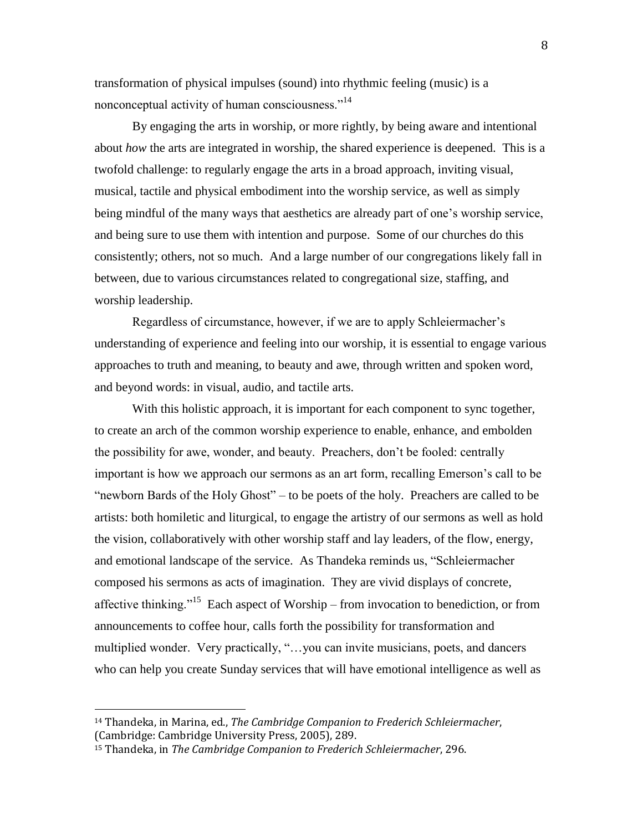transformation of physical impulses (sound) into rhythmic feeling (music) is a nonconceptual activity of human consciousness."<sup>14</sup>

By engaging the arts in worship, or more rightly, by being aware and intentional about *how* the arts are integrated in worship, the shared experience is deepened. This is a twofold challenge: to regularly engage the arts in a broad approach, inviting visual, musical, tactile and physical embodiment into the worship service, as well as simply being mindful of the many ways that aesthetics are already part of one's worship service, and being sure to use them with intention and purpose. Some of our churches do this consistently; others, not so much. And a large number of our congregations likely fall in between, due to various circumstances related to congregational size, staffing, and worship leadership.

Regardless of circumstance, however, if we are to apply Schleiermacher's understanding of experience and feeling into our worship, it is essential to engage various approaches to truth and meaning, to beauty and awe, through written and spoken word, and beyond words: in visual, audio, and tactile arts.

With this holistic approach, it is important for each component to sync together, to create an arch of the common worship experience to enable, enhance, and embolden the possibility for awe, wonder, and beauty. Preachers, don't be fooled: centrally important is how we approach our sermons as an art form, recalling Emerson's call to be "newborn Bards of the Holy Ghost" – to be poets of the holy. Preachers are called to be artists: both homiletic and liturgical, to engage the artistry of our sermons as well as hold the vision, collaboratively with other worship staff and lay leaders, of the flow, energy, and emotional landscape of the service. As Thandeka reminds us, "Schleiermacher composed his sermons as acts of imagination. They are vivid displays of concrete, affective thinking."<sup>15</sup> Each aspect of Worship – from invocation to benediction, or from announcements to coffee hour, calls forth the possibility for transformation and multiplied wonder. Very practically, "…you can invite musicians, poets, and dancers who can help you create Sunday services that will have emotional intelligence as well as

<sup>14</sup> Thandeka, in Marina, ed., *The Cambridge Companion to Frederich Schleiermacher*, (Cambridge: Cambridge University Press, 2005), 289.

<sup>15</sup> Thandeka, in *The Cambridge Companion to Frederich Schleiermacher*, 296.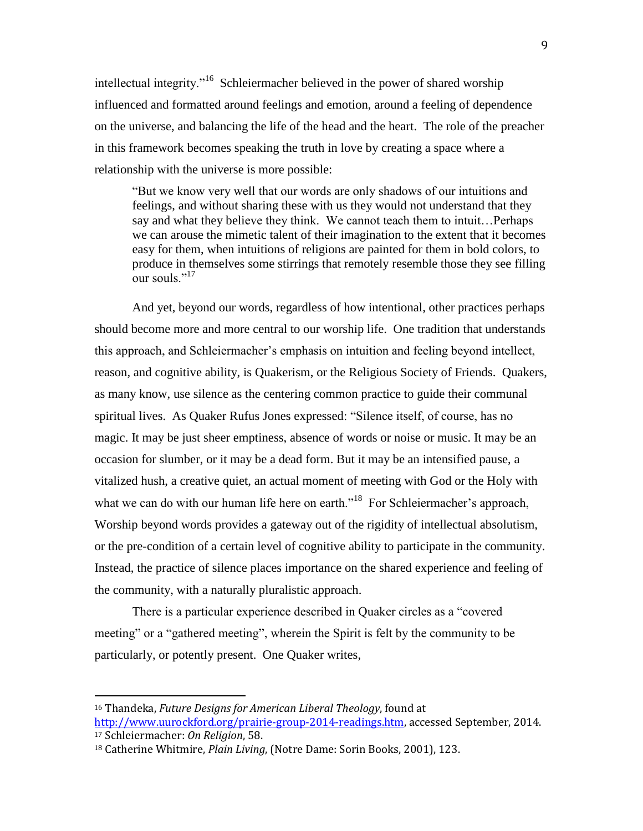intellectual integrity."<sup>16</sup> Schleiermacher believed in the power of shared worship influenced and formatted around feelings and emotion, around a feeling of dependence on the universe, and balancing the life of the head and the heart. The role of the preacher in this framework becomes speaking the truth in love by creating a space where a relationship with the universe is more possible:

"But we know very well that our words are only shadows of our intuitions and feelings, and without sharing these with us they would not understand that they say and what they believe they think. We cannot teach them to intuit…Perhaps we can arouse the mimetic talent of their imagination to the extent that it becomes easy for them, when intuitions of religions are painted for them in bold colors, to produce in themselves some stirrings that remotely resemble those they see filling our souls "<sup>17</sup>

And yet, beyond our words, regardless of how intentional, other practices perhaps should become more and more central to our worship life. One tradition that understands this approach, and Schleiermacher's emphasis on intuition and feeling beyond intellect, reason, and cognitive ability, is Quakerism, or the Religious Society of Friends. Quakers, as many know, use silence as the centering common practice to guide their communal spiritual lives. As Quaker Rufus Jones expressed: "Silence itself, of course, has no magic. It may be just sheer emptiness, absence of words or noise or music. It may be an occasion for slumber, or it may be a dead form. But it may be an intensified pause, a vitalized hush, a creative quiet, an actual moment of meeting with God or the Holy with what we can do with our human life here on earth."<sup>18</sup> For Schleiermacher's approach, Worship beyond words provides a gateway out of the rigidity of intellectual absolutism, or the pre-condition of a certain level of cognitive ability to participate in the community. Instead, the practice of silence places importance on the shared experience and feeling of the community, with a naturally pluralistic approach.

There is a particular experience described in Quaker circles as a "covered meeting" or a "gathered meeting", wherein the Spirit is felt by the community to be particularly, or potently present. One Quaker writes,

<sup>16</sup> Thandeka, *Future Designs for American Liberal Theology*, found at [http://www.uurockford.org/prairie-group-2014-readings.htm,](http://www.uurockford.org/prairie-group-2014-readings.htm) accessed September, 2014. <sup>17</sup> Schleiermacher: *On Religion*, 58.

<sup>18</sup> Catherine Whitmire, *Plain Living*, (Notre Dame: Sorin Books, 2001), 123.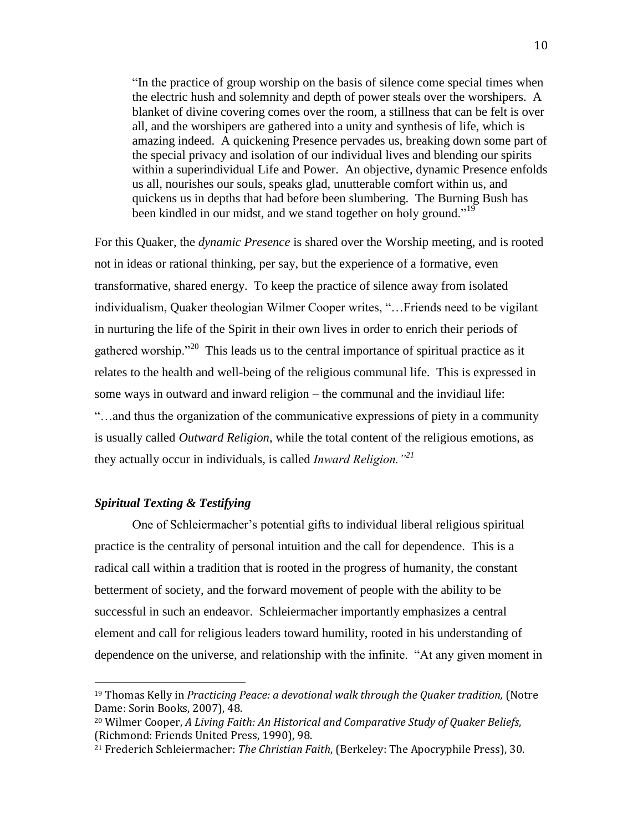"In the practice of group worship on the basis of silence come special times when the electric hush and solemnity and depth of power steals over the worshipers. A blanket of divine covering comes over the room, a stillness that can be felt is over all, and the worshipers are gathered into a unity and synthesis of life, which is amazing indeed. A quickening Presence pervades us, breaking down some part of the special privacy and isolation of our individual lives and blending our spirits within a superindividual Life and Power. An objective, dynamic Presence enfolds us all, nourishes our souls, speaks glad, unutterable comfort within us, and quickens us in depths that had before been slumbering. The Burning Bush has been kindled in our midst, and we stand together on holy ground."<sup>19</sup>

For this Quaker, the *dynamic Presence* is shared over the Worship meeting, and is rooted not in ideas or rational thinking, per say, but the experience of a formative, even transformative, shared energy. To keep the practice of silence away from isolated individualism, Quaker theologian Wilmer Cooper writes, "…Friends need to be vigilant in nurturing the life of the Spirit in their own lives in order to enrich their periods of gathered worship."<sup>20</sup> This leads us to the central importance of spiritual practice as it relates to the health and well-being of the religious communal life. This is expressed in some ways in outward and inward religion – the communal and the invidiaul life: "…and thus the organization of the communicative expressions of piety in a community is usually called *Outward Religion*, while the total content of the religious emotions, as they actually occur in individuals, is called *Inward Religion."<sup>21</sup>*

## *Spiritual Texting & Testifying*

 $\overline{\phantom{a}}$ 

One of Schleiermacher's potential gifts to individual liberal religious spiritual practice is the centrality of personal intuition and the call for dependence. This is a radical call within a tradition that is rooted in the progress of humanity, the constant betterment of society, and the forward movement of people with the ability to be successful in such an endeavor. Schleiermacher importantly emphasizes a central element and call for religious leaders toward humility, rooted in his understanding of dependence on the universe, and relationship with the infinite. "At any given moment in

<sup>&</sup>lt;sup>19</sup> Thomas Kelly in *Practicing Peace: a devotional walk through the Quaker tradition*, (Notre Dame: Sorin Books, 2007), 48.

<sup>20</sup> Wilmer Cooper, *A Living Faith: An Historical and Comparative Study of Quaker Beliefs*, (Richmond: Friends United Press, 1990), 98.

<sup>21</sup> Frederich Schleiermacher: *The Christian Faith*, (Berkeley: The Apocryphile Press), 30.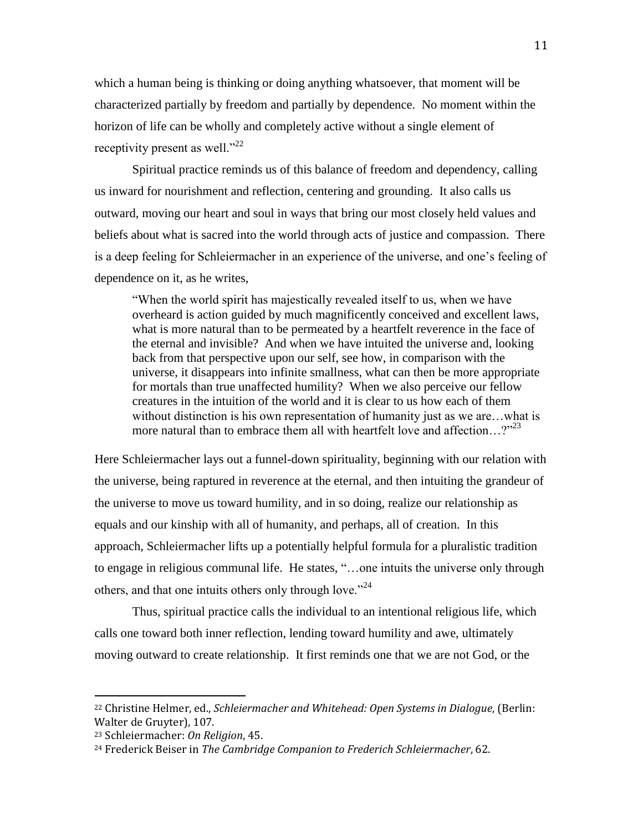which a human being is thinking or doing anything whatsoever, that moment will be characterized partially by freedom and partially by dependence. No moment within the horizon of life can be wholly and completely active without a single element of receptivity present as well." $^{22}$ 

Spiritual practice reminds us of this balance of freedom and dependency, calling us inward for nourishment and reflection, centering and grounding. It also calls us outward, moving our heart and soul in ways that bring our most closely held values and beliefs about what is sacred into the world through acts of justice and compassion. There is a deep feeling for Schleiermacher in an experience of the universe, and one's feeling of dependence on it, as he writes,

"When the world spirit has majestically revealed itself to us, when we have overheard is action guided by much magnificently conceived and excellent laws, what is more natural than to be permeated by a heartfelt reverence in the face of the eternal and invisible? And when we have intuited the universe and, looking back from that perspective upon our self, see how, in comparison with the universe, it disappears into infinite smallness, what can then be more appropriate for mortals than true unaffected humility? When we also perceive our fellow creatures in the intuition of the world and it is clear to us how each of them without distinction is his own representation of humanity just as we are...what is more natural than to embrace them all with heartfelt love and affection...?"<sup>23</sup>

Here Schleiermacher lays out a funnel-down spirituality, beginning with our relation with the universe, being raptured in reverence at the eternal, and then intuiting the grandeur of the universe to move us toward humility, and in so doing, realize our relationship as equals and our kinship with all of humanity, and perhaps, all of creation. In this approach, Schleiermacher lifts up a potentially helpful formula for a pluralistic tradition to engage in religious communal life. He states, "…one intuits the universe only through others, and that one intuits others only through love."<sup>24</sup>

Thus, spiritual practice calls the individual to an intentional religious life, which calls one toward both inner reflection, lending toward humility and awe, ultimately moving outward to create relationship. It first reminds one that we are not God, or the

<sup>22</sup> Christine Helmer, ed., *Schleiermacher and Whitehead: Open Systems in Dialogue*, (Berlin: Walter de Gruyter), 107.

<sup>23</sup> Schleiermacher: *On Religion*, 45.

<sup>24</sup> Frederick Beiser in *The Cambridge Companion to Frederich Schleiermacher*, 62.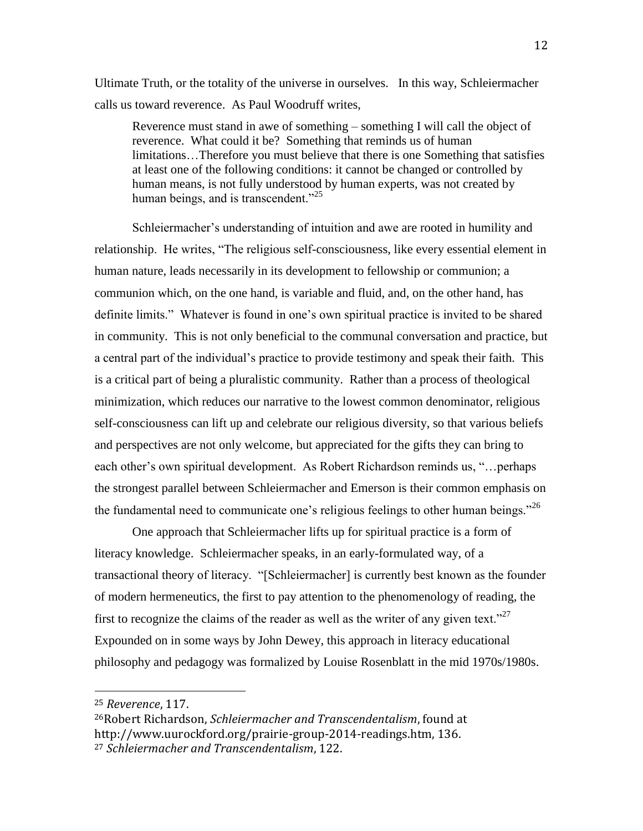Ultimate Truth, or the totality of the universe in ourselves. In this way, Schleiermacher calls us toward reverence. As Paul Woodruff writes,

Reverence must stand in awe of something – something I will call the object of reverence. What could it be? Something that reminds us of human limitations…Therefore you must believe that there is one Something that satisfies at least one of the following conditions: it cannot be changed or controlled by human means, is not fully understood by human experts, was not created by human beings, and is transcendent."<sup>25</sup>

Schleiermacher's understanding of intuition and awe are rooted in humility and relationship. He writes, "The religious self-consciousness, like every essential element in human nature, leads necessarily in its development to fellowship or communion; a communion which, on the one hand, is variable and fluid, and, on the other hand, has definite limits." Whatever is found in one's own spiritual practice is invited to be shared in community. This is not only beneficial to the communal conversation and practice, but a central part of the individual's practice to provide testimony and speak their faith. This is a critical part of being a pluralistic community. Rather than a process of theological minimization, which reduces our narrative to the lowest common denominator, religious self-consciousness can lift up and celebrate our religious diversity, so that various beliefs and perspectives are not only welcome, but appreciated for the gifts they can bring to each other's own spiritual development. As Robert Richardson reminds us, "…perhaps the strongest parallel between Schleiermacher and Emerson is their common emphasis on the fundamental need to communicate one's religious feelings to other human beings."<sup>26</sup>

One approach that Schleiermacher lifts up for spiritual practice is a form of literacy knowledge. Schleiermacher speaks, in an early-formulated way, of a transactional theory of literacy. "[Schleiermacher] is currently best known as the founder of modern hermeneutics, the first to pay attention to the phenomenology of reading, the first to recognize the claims of the reader as well as the writer of any given text."<sup>27</sup> Expounded on in some ways by John Dewey, this approach in literacy educational philosophy and pedagogy was formalized by Louise Rosenblatt in the mid 1970s/1980s.

<sup>25</sup> *Reverence*, 117.

<sup>26</sup>Robert Richardson, *Schleiermacher and Transcendentalism*, found at http://www.uurockford.org/prairie-group-2014-readings.htm, 136. <sup>27</sup> *Schleiermacher and Transcendentalism*, 122.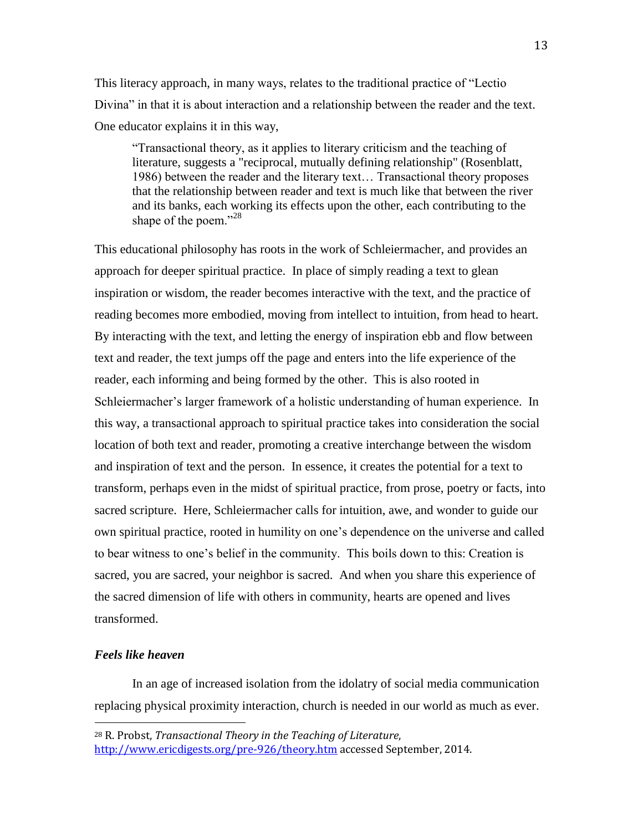This literacy approach, in many ways, relates to the traditional practice of "Lectio Divina" in that it is about interaction and a relationship between the reader and the text. One educator explains it in this way,

"Transactional theory, as it applies to literary criticism and the teaching of literature, suggests a "reciprocal, mutually defining relationship" (Rosenblatt, 1986) between the reader and the literary text… Transactional theory proposes that the relationship between reader and text is much like that between the river and its banks, each working its effects upon the other, each contributing to the shape of the poem."<sup>28</sup>

This educational philosophy has roots in the work of Schleiermacher, and provides an approach for deeper spiritual practice. In place of simply reading a text to glean inspiration or wisdom, the reader becomes interactive with the text, and the practice of reading becomes more embodied, moving from intellect to intuition, from head to heart. By interacting with the text, and letting the energy of inspiration ebb and flow between text and reader, the text jumps off the page and enters into the life experience of the reader, each informing and being formed by the other. This is also rooted in Schleiermacher's larger framework of a holistic understanding of human experience. In this way, a transactional approach to spiritual practice takes into consideration the social location of both text and reader, promoting a creative interchange between the wisdom and inspiration of text and the person. In essence, it creates the potential for a text to transform, perhaps even in the midst of spiritual practice, from prose, poetry or facts, into sacred scripture. Here, Schleiermacher calls for intuition, awe, and wonder to guide our own spiritual practice, rooted in humility on one's dependence on the universe and called to bear witness to one's belief in the community. This boils down to this: Creation is sacred, you are sacred, your neighbor is sacred. And when you share this experience of the sacred dimension of life with others in community, hearts are opened and lives transformed.

#### *Feels like heaven*

 $\overline{\phantom{a}}$ 

In an age of increased isolation from the idolatry of social media communication replacing physical proximity interaction, church is needed in our world as much as ever.

<sup>28</sup> R. Probst, *Transactional Theory in the Teaching of Literature*, <http://www.ericdigests.org/pre-926/theory.htm> accessed September, 2014.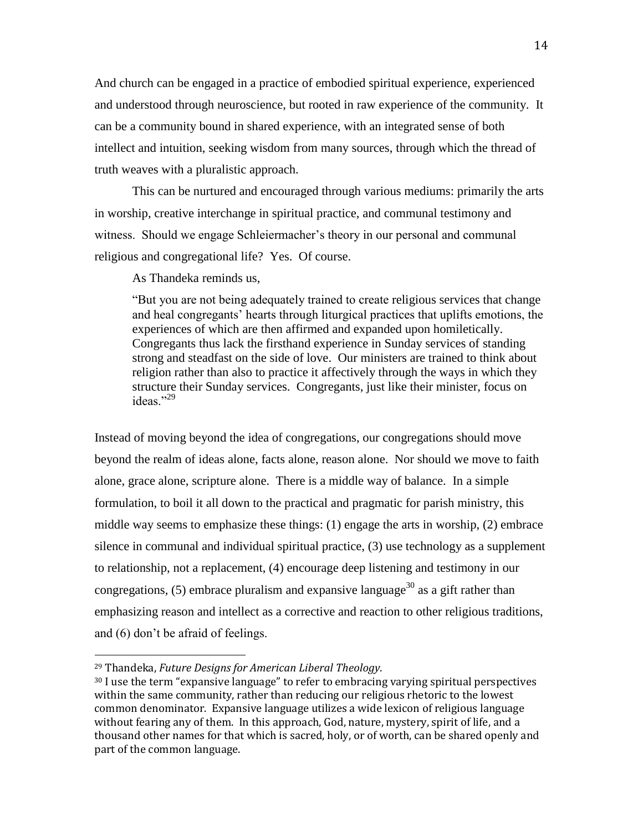And church can be engaged in a practice of embodied spiritual experience, experienced and understood through neuroscience, but rooted in raw experience of the community. It can be a community bound in shared experience, with an integrated sense of both intellect and intuition, seeking wisdom from many sources, through which the thread of truth weaves with a pluralistic approach.

This can be nurtured and encouraged through various mediums: primarily the arts in worship, creative interchange in spiritual practice, and communal testimony and witness. Should we engage Schleiermacher's theory in our personal and communal religious and congregational life? Yes. Of course.

As Thandeka reminds us,

"But you are not being adequately trained to create religious services that change and heal congregants' hearts through liturgical practices that uplifts emotions, the experiences of which are then affirmed and expanded upon homiletically. Congregants thus lack the firsthand experience in Sunday services of standing strong and steadfast on the side of love. Our ministers are trained to think about religion rather than also to practice it affectively through the ways in which they structure their Sunday services. Congregants, just like their minister, focus on ideas<sup>"29</sup>

Instead of moving beyond the idea of congregations, our congregations should move beyond the realm of ideas alone, facts alone, reason alone. Nor should we move to faith alone, grace alone, scripture alone. There is a middle way of balance. In a simple formulation, to boil it all down to the practical and pragmatic for parish ministry, this middle way seems to emphasize these things: (1) engage the arts in worship, (2) embrace silence in communal and individual spiritual practice, (3) use technology as a supplement to relationship, not a replacement, (4) encourage deep listening and testimony in our congregations, (5) embrace pluralism and expansive language<sup>30</sup> as a gift rather than emphasizing reason and intellect as a corrective and reaction to other religious traditions, and (6) don't be afraid of feelings.

<sup>29</sup> Thandeka, *Future Designs for American Liberal Theology*.

<sup>&</sup>lt;sup>30</sup> I use the term "expansive language" to refer to embracing varying spiritual perspectives within the same community, rather than reducing our religious rhetoric to the lowest common denominator. Expansive language utilizes a wide lexicon of religious language without fearing any of them. In this approach, God, nature, mystery, spirit of life, and a thousand other names for that which is sacred, holy, or of worth, can be shared openly and part of the common language.